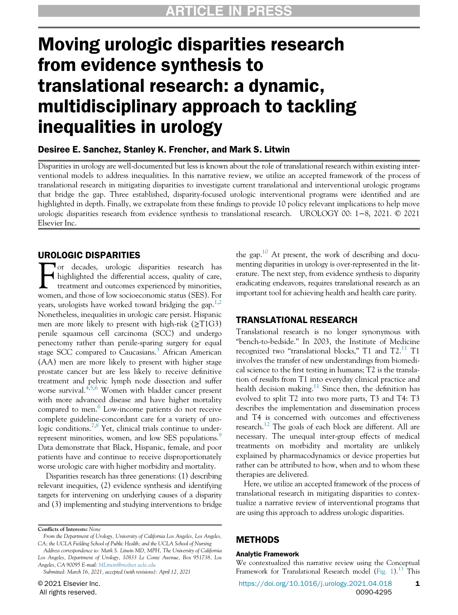# Moving urologic disparities research from evidence synthesis to translational research: a dynamic, multidisciplinary approach to tackling inequalities in urology

# Desiree E. Sanchez, Stanley K. Frencher, and Mark S. Litwin

Disparities in urology are well-documented but less is known about the role of translational research within existing interventional models to address inequalities. In this narrative review, we utilize an accepted framework of the process of translational research in mitigating disparities to investigate current translational and interventional urologic programs that bridge the gap. Three established, disparity-focused urologic interventional programs were identified and are highlighted in depth. Finally, we extrapolate from these findings to provide 10 policy relevant implications to help move urologic disparities research from evidence synthesis to translational research. UROLOGY 00: 1−8, 2021. © 2021 Elsevier Inc.

### UROLOGIC DISPARITIES

For decades, urologic disparities research has highlighted the differential access, quality of care, treatment and outcomes experienced by minorities, women, and those of low socioeconomic status (SES). For years, urologists have worked toward bridging the gap.<sup>[1](#page-6-0)[,2](#page-6-1)</sup> Nonetheless, inequalities in urologic care persist. Hispanic men are more likely to present with high-risk ( $\geq$ T1G3) penile squamous cell carcinoma (SCC) and undergo penectomy rather than penile-sparing surgery for equal stage SCC compared to Caucasians.<sup>[3](#page-6-2)</sup> African American (AA) men are more likely to present with higher stage prostate cancer but are less likely to receive definitive treatment and pelvic lymph node dissection and suffer worse survival.<sup>[4,](#page-6-3)[5](#page-6-4)[,6](#page-6-5)</sup> Women with bladder cancer present with more advanced disease and have higher mortality compared to men.<sup>[6](#page-6-5)</sup> Low-income patients do not receive complete guideline-concordant care for a variety of uro-logic conditions.<sup>[7,](#page-6-6)[8](#page-6-7)</sup> Yet, clinical trials continue to under-represent minorities, women, and low SES populations.<sup>[9](#page-6-8)</sup> Data demonstrate that Black, Hispanic, female, and poor patients have and continue to receive disproportionately worse urologic care with higher morbidity and mortality.

Disparities research has three generations: (1) describing relevant inequities, (2) evidence synthesis and identifying targets for intervening on underlying causes of a disparity and (3) implementing and studying interventions to bridge

Address correspondence to: Mark S. Litwin MD, MPH, The University of California Los Angeles, Department of Urology, 10833 Le Conte Avenue, Box 951738, Los Angeles, CA 90095 E-mail: [MLitwin@mednet.ucla.edu](mailto:MLitwin@mednet.ucla.edu)

the gap.<sup>[10](#page-6-9)</sup> At present, the work of describing and documenting disparities in urology is over-represented in the literature. The next step, from evidence synthesis to disparity eradicating endeavors, requires translational research as an important tool for achieving health and health care parity.

### TRANSLATIONAL RESEARCH

Translational research is no longer synonymous with "bench-to-bedside." In 2003, the Institute of Medicine recognized two "translational blocks,"  $T1$  and  $T2$ .<sup>[11](#page-6-10)</sup>  $T1$ involves the transfer of new understandings from biomedical science to the first testing in humans; T2 is the translation of results from T1 into everyday clinical practice and health decision making.<sup>[11](#page-6-10)</sup> Since then, the definition has evolved to split T2 into two more parts, T3 and T4: T3 describes the implementation and dissemination process and T4 is concerned with outcomes and effectiveness research.<sup>[12](#page-6-11)</sup> The goals of each block are different. All are necessary. The unequal inter-group effects of medical treatments on morbidity and mortality are unlikely explained by pharmacodynamics or device properties but rather can be attributed to how, when and to whom these therapies are delivered.

Here, we utilize an accepted framework of the process of translational research in mitigating disparities to contextualize a narrative review of interventional programs that are using this approach to address urologic disparities.

## METHODS

#### Analytic Framework

We contextualized this narrative review using the Conceptual Framework for Translational Research model ([Fig. 1](#page-1-0)).<sup>[13](#page-6-12)</sup> This

Conflicts of Interests: None

From the Department of Urology, University of California Los Angeles, Los Angeles, CA; the UCLA Fielding School of Public Health; and the UCLA School of Nursing

Submitted: March 16, 2021, accepted (with revisions): April 12, 2021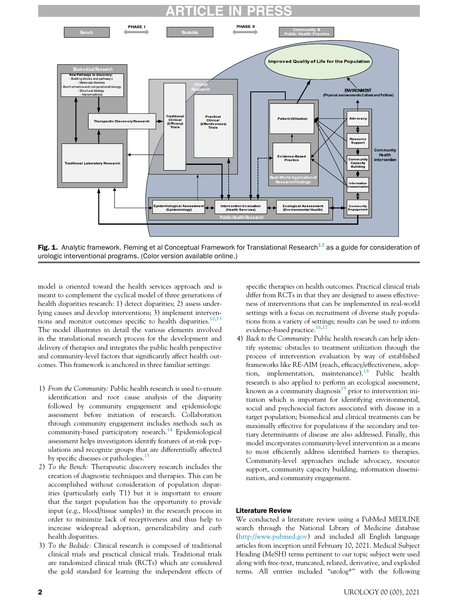

<span id="page-1-0"></span>

Fig. 1. Analytic framework. Fleming et al Conceptual Framework for Translational Research<sup>[13](#page-6-12)</sup> as a guide for consideration of urologic interventional programs. (Color version available online.)

model is oriented toward the health services approach and is meant to complement the cyclical model of three generations of health disparities research: 1) detect disparities; 2) assess underlying causes and develop interventions; 3) implement interven-tions and monitor outcomes specific to health disparities.<sup>[10,](#page-6-9)[13](#page-6-12)</sup> The model illustrates in detail the various elements involved in the translational research process for the development and delivery of therapies and integrates the public health perspective and community-level factors that significantly affect health outcomes. This framework is anchored in three familiar settings:

- 1) From the Community: Public health research is used to ensure identification and root cause analysis of the disparity followed by community engagement and epidemiologic assessment before initiation of research. Collaboration through community engagement includes methods such as community-based participatory research.<sup>[14](#page-6-13)</sup> Epidemiological assessment helps investigators identify features of at-risk populations and recognize groups that are differentially affected by specific diseases or pathologies.<sup>[15](#page-6-14)</sup>
- 2) To the Bench: Therapeutic discovery research includes the creation of diagnostic techniques and therapies. This can be accomplished without consideration of population disparities (particularly early T1) but it is important to ensure that the target population has the opportunity to provide input (e.g., blood/tissue samples) in the research process in order to minimize lack of receptiveness and thus help to increase widespread adoption, generalizability and curb health disparities.
- 3) To the Bedside: Clinical research is composed of traditional clinical trials and practical clinical trials. Traditional trials are randomized clinical trials (RCTs) which are considered the gold standard for learning the independent effects of

specific therapies on health outcomes. Practical clinical trials differ from RCTs in that they are designed to assess effectiveness of interventions that can be implemented in real-world settings with a focus on recruitment of diverse study populations from a variety of settings; results can be used to inform evidence-based practice.<sup>[16,](#page-6-15)[17](#page-6-16)</sup>

4) Back to the Community: Public health research can help identify systemic obstacles to treatment utilization through the process of intervention evaluation by way of established frameworks like RE-AIM (reach, efficacy/effectiveness, adoption, implementation, maintenance).[18](#page-6-17) Public health research is also applied to perform an ecological assessment, known as a community diagnosis<sup>[19](#page-6-18)</sup> prior to intervention initiation which is important for identifying environmental, social and psychosocial factors associated with disease in a target population; biomedical and clinical treatments can be maximally effective for populations if the secondary and tertiary determinants of disease are also addressed. Finally, this model incorporates community-level intervention as a means to most efficiently address identified barriers to therapies. Community-level approaches include advocacy, resource support, community capacity building, information dissemination, and community engagement.

#### Literature Review

We conducted a literature review using a PubMed MEDLINE search through the National Library of Medicine database [\(http://www.pubmed.gov\)](http://www.pubmed.gov) and included all English language articles from inception until February 10, 2021. Medical Subject Heading (MeSH) terms pertinent to our topic subject were used along with free-text, truncated, related, derivative, and exploded terms. All entries included "urolog\*" with the following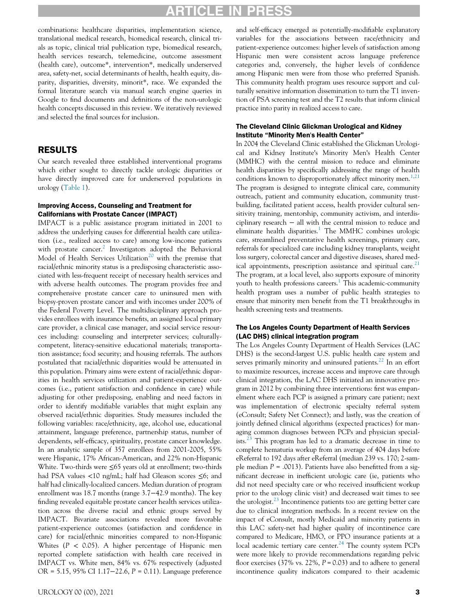# ARTICLE IN PRESS

combinations: healthcare disparities, implementation science, translational medical research, biomedical research, clinical trials as topic, clinical trial publication type, biomedical research, health services research, telemedicine, outcome assessment (health care), outcome\*, intervention\*, medically underserved area, safety-net, social determinants of health, health equity, disparity, disparities, diversity, minorit\*, race. We expanded the formal literature search via manual search engine queries in Google to find documents and definitions of the non-urologic health concepts discussed in this review. We iteratively reviewed and selected the final sources for inclusion.

### RESULTS

Our search revealed three established interventional programs which either sought to directly tackle urologic disparities or have directly improved care for underserved populations in urology ([Table 1](#page-3-0)).

#### Improving Access, Counseling and Treatment for Californians with Prostate Cancer (IMPACT)

IMPACT is a public assistance program initiated in 2001 to address the underlying causes for differential health care utilization (i.e., realized access to care) among low-income patients with prostate cancer.<sup>[2](#page-6-1)</sup> Investigators adopted the Behavioral Model of Health Services Utilization<sup>[20](#page-6-19)</sup> with the premise that racial/ethnic minority status is a predisposing characteristic associated with less-frequent receipt of necessary health services and with adverse health outcomes. The program provides free and comprehensive prostate cancer care to uninsured men with biopsy-proven prostate cancer and with incomes under 200% of the Federal Poverty Level. The multidisciplinary approach provides enrollees with insurance benefits, an assigned local primary care provider, a clinical case manager, and social service resources including: counseling and interpreter services; culturallycompetent, literacy-sensitive educational materials; transportation assistance; food security; and housing referrals. The authors postulated that racial/ethnic disparities would be attenuated in this population. Primary aims were extent of racial/ethnic disparities in health services utilization and patient-experience outcomes (i.e., patient satisfaction and confidence in care) while adjusting for other predisposing, enabling and need factors in order to identify modifiable variables that might explain any observed racial/ethnic disparities. Study measures included the following variables: race/ethnicity, age, alcohol use, educational attainment, language preference, partnership status, number of dependents, self-efficacy, spirituality, prostate cancer knowledge. In an analytic sample of 357 enrollees from 2001-2005, 55% were Hispanic, 17% African-American, and 22% non-Hispanic White. Two-thirds were ≤65 years old at enrollment; two-thirds had PSA values <10 ng/mL; half had Gleason scores ≤6; and half had clinically-localized cancers. Median duration of program enrollment was 18.7 months (range 3.7−42.9 months). The key finding revealed equitable prostate cancer health services utilization across the diverse racial and ethnic groups served by IMPACT. Bivariate associations revealed more favorable patient-experience outcomes (satisfaction and confidence in care) for racial/ethnic minorities compared to non-Hispanic Whites ( $P < 0.05$ ). A higher percentage of Hispanic men reported complete satisfaction with health care received in IMPACT vs. White men, 84% vs. 67% respectively (adjusted OR = 5.15, 95% CI 1.17−22.6, P = 0.11). Language preference

and self-efficacy emerged as potentially-modifiable explanatory variables for the associations between race/ethnicity and patient-experience outcomes: higher levels of satisfaction among Hispanic men were consistent across language preference categories and, conversely, the higher levels of confidence among Hispanic men were from those who preferred Spanish. This community health program uses resource support and culturally sensitive information dissemination to turn the T1 invention of PSA screening test and the T2 results that inform clinical practice into parity in realized access to care.

#### The Cleveland Clinic Glickman Urological and Kidney Institute "Minority Men's Health Center"

In 2004 the Cleveland Clinic established the Glickman Urological and Kidney Institute's Minority Men's Health Center (MMHC) with the central mission to reduce and eliminate health disparities by specifically addressing the range of health conditions known to disproportionately affect minority men.<sup>[1,](#page-6-0)[21](#page-6-20)</sup> The program is designed to integrate clinical care, community outreach, patient and community education, community trustbuilding, facilitated patient access, health provider cultural sensitivity training, mentorship, community activism, and interdisciplinary research − all with the central mission to reduce and eliminate health disparities.<sup>[1](#page-6-0)</sup> The MMHC combines urologic care, streamlined preventative health screenings, primary care, referrals for specialized care including kidney transplants, weight loss surgery, colorectal cancer and digestive diseases, shared medical appointments, prescription assistance and spiritual care. $21$ The program, at a local level, also supports exposure of minority youth to health professions careers.<sup>[1](#page-6-0)</sup> This academic-community health program uses a number of public health strategies to ensure that minority men benefit from the T1 breakthroughs in health screening tests and treatments.

#### The Los Angeles County Department of Health Services (LAC DHS) clinical integration program

The Los Angeles County Department of Health Services (LAC DHS) is the second-largest U.S. public health care system and serves primarily minority and uninsured patients.<sup>[22](#page-6-21)</sup> In an effort to maximize resources, increase access and improve care through clinical integration, the LAC DHS initiated an innovative program in 2012 by combining three interventions: first was empanelment where each PCP is assigned a primary care patient; next was implementation of electronic specialty referral system (eConsult; Safety Net Connect); and lastly, was the creation of jointly defined clinical algorithms (expected practices) for managing common diagnoses between PCPs and physician special-ists.<sup>[23](#page-7-0)</sup> This program has led to a dramatic decrease in time to complete hematuria workup from an average of 404 days before eReferral to 192 days after eReferral (median 239 vs. 170; 2-sample median  $P = .0013$ ). Patients have also benefitted from a significant decrease in inefficient urologic care (ie, patients who did not need specialty care or who received insufficient workup prior to the urology clinic visit) and decreased wait times to see the urologist. $^{23}$  $^{23}$  $^{23}$  Incontinence patients too are getting better care due to clinical integration methods. In a recent review on the impact of eConsult, mostly Medicaid and minority patients in this LAC safety-net had higher quality of incontinence care compared to Medicare, HMO, or PPO insurance patients at a local academic tertiary care center. $24$  The county system PCPs were more likely to provide recommendations regarding pelvic floor exercises (37% vs. 22%,  $P = 0.03$ ) and to adhere to general incontinence quality indicators compared to their academic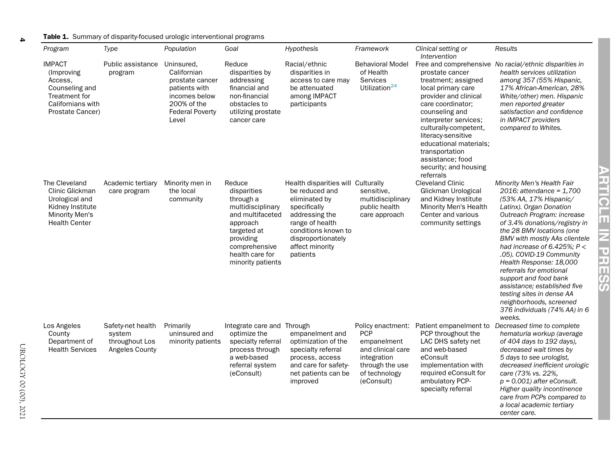#### **Table 1.** Summary of disparity-focused urologic interventional programs

| Program                                                                                                                 | Type                                                            | Population                                                                                                                       | Goal                                                                                                                                                                         | Hypothesis                                                                                                                                                                                             | Framework                                                                                                       | Clinical setting or<br>Intervention                                                                                                                                                                                                                                                                        | Results                                                                                                                                                                                                                                                                                                                                                                                                                                                                                                                          |
|-------------------------------------------------------------------------------------------------------------------------|-----------------------------------------------------------------|----------------------------------------------------------------------------------------------------------------------------------|------------------------------------------------------------------------------------------------------------------------------------------------------------------------------|--------------------------------------------------------------------------------------------------------------------------------------------------------------------------------------------------------|-----------------------------------------------------------------------------------------------------------------|------------------------------------------------------------------------------------------------------------------------------------------------------------------------------------------------------------------------------------------------------------------------------------------------------------|----------------------------------------------------------------------------------------------------------------------------------------------------------------------------------------------------------------------------------------------------------------------------------------------------------------------------------------------------------------------------------------------------------------------------------------------------------------------------------------------------------------------------------|
| <b>IMPACT</b><br>(Improving)<br>Access,<br>Counseling and<br>Treatment for<br>Californians with<br>Prostate Cancer)     | Public assistance<br>program                                    | Uninsured,<br>Californian<br>prostate cancer<br>patients with<br>incomes below<br>200% of the<br><b>Federal Poverty</b><br>Level | Reduce<br>disparities by<br>addressing<br>financial and<br>non-financial<br>obstacles to<br>utilizing prostate<br>cancer care                                                | Racial/ethnic<br>disparities in<br>access to care may<br>be attenuated<br>among IMPACT<br>participants                                                                                                 | <b>Behavioral Model</b><br>of Health<br>Services<br>Utilization <sup>24</sup>                                   | prostate cancer<br>treatment; assigned<br>local primary care<br>provider and clinical<br>care coordinator;<br>counseling and<br>interpreter services;<br>culturally-competent,<br>literacy-sensitive<br>educational materials;<br>transportation<br>assistance; food<br>security; and housing<br>referrals | Free and comprehensive No racial/ethnic disparities in<br>health services utilization<br>among 357 (55% Hispanic,<br>17% African-American, 28%<br>White/other) men. Hispanic<br>men reported greater<br>satisfaction and confidence<br>in IMPACT providers<br>compared to Whites.                                                                                                                                                                                                                                                |
| The Cleveland<br>Clinic Glickman<br>Urological and<br>Kidney Institute<br><b>Minority Men's</b><br><b>Health Center</b> | Academic tertiary<br>care program                               | Minority men in<br>the local<br>community                                                                                        | Reduce<br>disparities<br>through a<br>multidisciplinary<br>and multifaceted<br>approach<br>targeted at<br>providing<br>comprehensive<br>health care for<br>minority patients | Health disparities will Culturally<br>be reduced and<br>eliminated by<br>specifically<br>addressing the<br>range of health<br>conditions known to<br>disproportionately<br>affect minority<br>patients | sensitive.<br>multidisciplinary<br>public health<br>care approach                                               | <b>Cleveland Clinic</b><br>Glickman Urological<br>and Kidney Institute<br>Minority Men's Health<br>Center and various<br>community settings                                                                                                                                                                | Minority Men's Health Fair<br>2016: attendance = $1,700$<br>(53% AA, 17% Hispanic/<br>Latinx). Organ Donation<br>Outreach Program: increase<br>of 3.4% donations/registry in<br>the 28 BMV locations (one<br><b>BMV</b> with mostly AAs clientele<br>had increase of 6.425%; $P <$<br>.05). COVID-19 Community<br>Health Response: 18,000<br>referrals for emotional<br>support and food bank<br>assistance; established five<br>testing sites in dense AA<br>neighborhoods, screened<br>376 individuals (74% AA) in 6<br>weeks. |
| Los Angeles<br>County<br>Department of<br><b>Health Services</b>                                                        | Safety-net health<br>system<br>throughout Los<br>Angeles County | Primarily<br>uninsured and<br>minority patients                                                                                  | Integrate care and Through<br>optimize the<br>specialty referral<br>process through<br>a web-based<br>referral system<br>(eConsult)                                          | empanelment and<br>optimization of the<br>specialty referral<br>process, access<br>and care for safety-<br>net patients can be<br>improved                                                             | <b>PCP</b><br>empanelment<br>and clinical care<br>integration<br>through the use<br>of technology<br>(eConsult) | Policy enactment: Patient empanelment to<br>PCP throughout the<br>LAC DHS safety net<br>and web-based<br>eConsult<br>implementation with<br>required eConsult for<br>ambulatory PCP-<br>specialty referral                                                                                                 | Decreased time to complete<br>hematuria workup (average<br>of 404 days to 192 days),<br>decreased wait times by<br>5 days to see urologist,<br>decreased inefficient urologic<br>care (73% vs. 22%,<br>$p = 0.001$ ) after eConsult.<br>Higher quality incontinence<br>care from PCPs compared to<br>a local academic tertiary<br>center care.                                                                                                                                                                                   |

<span id="page-3-0"></span>4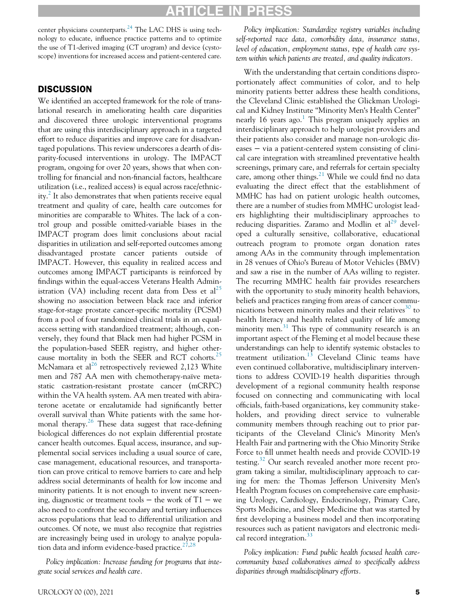# ICLE I

center physicians counterparts.<sup>[24](#page-7-1)</sup> The LAC DHS is using technology to educate, influence practice patterns and to optimize the use of T1-derived imaging (CT urogram) and device (cystoscope) inventions for increased access and patient-centered care.

## **DISCUSSION**

We identified an accepted framework for the role of translational research in ameliorating health care disparities and discovered three urologic interventional programs that are using this interdisciplinary approach in a targeted effort to reduce disparities and improve care for disadvantaged populations. This review underscores a dearth of disparity-focused interventions in urology. The IMPACT program, ongoing for over 20 years, shows that when controlling for financial and non-financial factors, healthcare utilization (i.e., realized access) is equal across race/ethnic-ity.<sup>[2](#page-6-1)</sup> It also demonstrates that when patients receive equal treatment and quality of care, health care outcomes for minorities are comparable to Whites. The lack of a control group and possible omitted-variable biases in the IMPACT program does limit conclusions about racial disparities in utilization and self-reported outcomes among disadvantaged prostate cancer patients outside of IMPACT. However, this equality in realized access and outcomes among IMPACT participants is reinforced by findings within the equal-access Veterans Health Admin-istration (VA) including recent data from Dess et al<sup>[25](#page-7-3)</sup> showing no association between black race and inferior stage-for-stage prostate cancer-specific mortality (PCSM) from a pool of four randomized clinical trials in an equalaccess setting with standardized treatment; although, conversely, they found that Black men had higher PCSM in the population-based SEER registry, and higher other-cause mortality in both the SEER and RCT cohorts.<sup>[25](#page-7-3)</sup> McNamara et al<sup>[26](#page-7-4)</sup> retrospectively reviewed 2,123 White men and 787 AA men with chemotherapy-naïve metastatic castration-resistant prostate cancer (mCRPC) within the VA health system. AA men treated with abiraterone acetate or enzalutamide had significantly better overall survival than White patients with the same hor-monal therapy.<sup>[26](#page-7-4)</sup> These data suggest that race-defining biological differences do not explain differential prostate cancer health outcomes. Equal access, insurance, and supplemental social services including a usual source of care, case management, educational resources, and transportation can prove critical to remove barriers to care and help address social determinants of health for low income and minority patients. It is not enough to invent new screening, diagnostic or treatment tools  $-$  the work of T1  $-$  we also need to confront the secondary and tertiary influences across populations that lead to differential utilization and outcomes. Of note, we must also recognize that registries are increasingly being used in urology to analyze population data and inform evidence-based practice. $27,28$  $27,28$ 

Policy implication: Increase funding for programs that integrate social services and health care.

Policy implication: Standardize registry variables including self-reported race data, comorbidity data, insurance status, level of education, employment status, type of health care system within which patients are treated, and quality indicators.

With the understanding that certain conditions disproportionately affect communities of color, and to help minority patients better address these health conditions, the Cleveland Clinic established the Glickman Urological and Kidney Institute "Minority Men's Health Center" nearly [1](#page-6-0)6 years ago.<sup>1</sup> This program uniquely applies an interdisciplinary approach to help urologist providers and their patients also consider and manage non-urologic diseases – via a patient-centered system consisting of clinical care integration with streamlined preventative health screenings, primary care, and referrals for certain specialty care, among other things. $^{21}$  $^{21}$  $^{21}$  While we could find no data evaluating the direct effect that the establishment of MMHC has had on patient urologic health outcomes, there are a number of studies from MMHC urologist leaders highlighting their multidisciplinary approaches to reducing disparities. Zaramo and Modlin et  $al^{29}$  $al^{29}$  $al^{29}$  developed a culturally sensitive, collaborative, educational outreach program to promote organ donation rates among AAs in the community through implementation in 28 venues of Ohio's Bureau of Motor Vehicles (BMV) and saw a rise in the number of AAs willing to register. The recurring MMHC health fair provides researchers with the opportunity to study minority health behaviors, beliefs and practices ranging from areas of cancer commu-nications between minority males and their relatives<sup>[30](#page-7-8)</sup> to health literacy and health related quality of life among minority men. $31$  This type of community research is an important aspect of the Fleming et al model because these understandings can help to identify systemic obstacles to treatment utilization. $13$  Cleveland Clinic teams have even continued collaborative, multidisciplinary interventions to address COVID-19 health disparities through development of a regional community health response focused on connecting and communicating with local officials, faith-based organizations, key community stakeholders, and providing direct service to vulnerable community members through reaching out to prior participants of the Cleveland Clinic's Minority Men's Health Fair and partnering with the Ohio Minority Strike Force to fill unmet health needs and provide COVID-19 testing.<sup>[32](#page-7-10)</sup> Our search revealed another more recent program taking a similar, multidisciplinary approach to caring for men: the Thomas Jefferson University Men's Health Program focuses on comprehensive care emphasizing Urology, Cardiology, Endocrinology, Primary Care, Sports Medicine, and Sleep Medicine that was started by first developing a business model and then incorporating resources such as patient navigators and electronic medical record integration. $33$ 

Policy implication: Fund public health focused health carecommunity based collaboratives aimed to specifically address disparities through multidisciplinary efforts.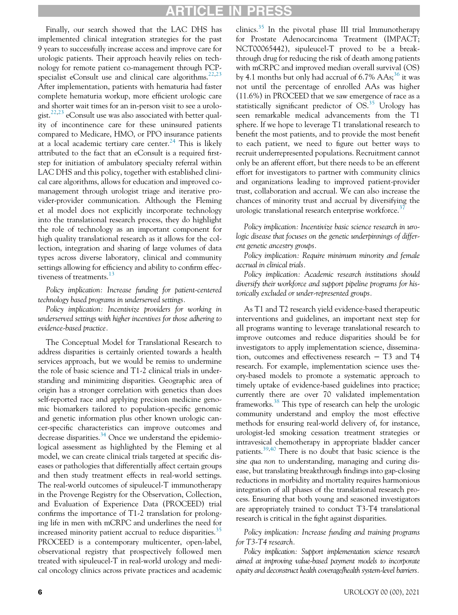# **RTICLE IN PRESS**

Finally, our search showed that the LAC DHS has implemented clinical integration strategies for the past 9 years to successfully increase access and improve care for urologic patients. Their approach heavily relies on technology for remote patient co-management through PCP-specialist eConsult use and clinical care algorithms.<sup>[22,](#page-6-21)[23](#page-7-0)</sup> After implementation, patients with hematuria had faster complete hematuria workup, more efficient urologic care and shorter wait times for an in-person visit to see a urolo-gist.<sup>[22](#page-6-21)[,23](#page-7-0)</sup> eConsult use was also associated with better quality of incontinence care for these uninsured patients compared to Medicare, HMO, or PPO insurance patients at a local academic tertiary care center.<sup>[24](#page-7-1)</sup> This is likely attributed to the fact that an eConsult is a required firststep for initiation of ambulatory specialty referral within LAC DHS and this policy, together with established clinical care algorithms, allows for education and improved comanagement through urologist triage and iterative provider-provider communication. Although the Fleming et al model does not explicitly incorporate technology into the translational research process, they do highlight the role of technology as an important component for high quality translational research as it allows for the collection, integration and sharing of large volumes of data types across diverse laboratory, clinical and community settings allowing for efficiency and ability to confirm effec-tiveness of treatments.<sup>[13](#page-6-12)</sup>

Policy implication: Increase funding for patient-centered technology based programs in underserved settings.

Policy implication: Incentivize providers for working in underserved settings with higher incentives for those adhering to evidence-based practice.

The Conceptual Model for Translational Research to address disparities is certainly oriented towards a health services approach, but we would be remiss to undermine the role of basic science and T1-2 clinical trials in understanding and minimizing disparities. Geographic area of origin has a stronger correlation with genetics than does self-reported race and applying precision medicine genomic biomarkers tailored to population-specific genomic and genetic information plus other known urologic cancer-specific characteristics can improve outcomes and decrease disparities.<sup>[34](#page-7-12)</sup> Once we understand the epidemiological assessment as highlighted by the Fleming et al model, we can create clinical trials targeted at specific diseases or pathologies that differentially affect certain groups and then study treatment effects in real-world settings. The real-world outcomes of sipuleucel-T immunotherapy in the Provenge Registry for the Observation, Collection, and Evaluation of Experience Data (PROCEED) trial confirms the importance of T1-2 translation for prolonging life in men with mCRPC and underlines the need for increased minority patient accrual to reduce disparities.<sup>[35](#page-7-13)</sup> PROCEED is a contemporary multicenter, open-label, observational registry that prospectively followed men treated with sipuleucel-T in real-world urology and medical oncology clinics across private practices and academic

clinics. $35$  In the pivotal phase III trial Immunotherapy for Prostate Adenocarcinoma Treatment (IMPACT; NCT00065442), sipuleucel-T proved to be a breakthrough drug for reducing the risk of death among patients with mCRPC and improved median overall survival (OS) by 4.1 months but only had accrual of  $6.7\%$  AAs;<sup>[36](#page-7-14)</sup> it was not until the percentage of enrolled AAs was higher (11.6%) in PROCEED that we saw emergence of race as a statistically significant predictor of  $OS.<sup>35</sup>$  Urology has seen remarkable medical advancements from the T1 sphere. If we hope to leverage T1 translational research to benefit the most patients, and to provide the most benefit to each patient, we need to figure out better ways to recruit underrepresented populations. Recruitment cannot only be an afferent effort, but there needs to be an efferent effort for investigators to partner with community clinics and organizations leading to improved patient-provider trust, collaboration and accrual. We can also increase the chances of minority trust and accrual by diversifying the urologic translational research enterprise workforce.<sup>3</sup>

Policy implication: Incentivize basic science research in urologic disease that focuses on the genetic underpinnings of different genetic ancestry groups.

Policy implication: Require minimum minority and female accrual in clinical trials.

Policy implication: Academic research institutions should diversify their workforce and support pipeline programs for historically excluded or under-represented groups.

As T1 and T2 research yield evidence-based therapeutic interventions and guidelines, an important next step for all programs wanting to leverage translational research to improve outcomes and reduce disparities should be for investigators to apply implementation science, dissemination, outcomes and effectiveness research − T3 and T4 research. For example, implementation science uses theory-based models to promote a systematic approach to timely uptake of evidence-based guidelines into practice; currently there are over 70 validated implementation frameworks.<sup>38</sup> This type of research can help the urologic community understand and employ the most effective methods for ensuring real-world delivery of, for instance, urologist-led smoking cessation treatment strategies or intravesical chemotherapy in appropriate bladder cancer patients.[39,](#page-7-17)[40](#page-7-18) There is no doubt that basic science is the sine qua non to understanding, managing and curing disease, but translating breakthrough findings into gap-closing reductions in morbidity and mortality requires harmonious integration of all phases of the translational research process. Ensuring that both young and seasoned investigators are appropriately trained to conduct T3-T4 translational research is critical in the fight against disparities.

Policy implication: Increase funding and training programs for T3-T4 research.

Policy implication: Support implementation science research aimed at improving value-based payment models to incorporate equity and deconstruct health coverage/health system-level barriers.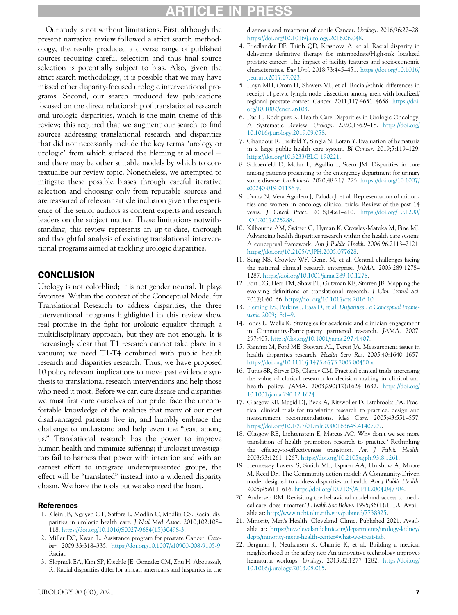# ARTICLE IN

<span id="page-6-6"></span><span id="page-6-5"></span><span id="page-6-4"></span><span id="page-6-3"></span>Our study is not without limitations. First, although the present narrative review followed a strict search methodology, the results produced a diverse range of published sources requiring careful selection and thus final source selection is potentially subject to bias. Also, given the strict search methodology, it is possible that we may have missed other disparity-focused urologic interventional programs. Second, our search produced few publications focused on the direct relationship of translational research and urologic disparities, which is the main theme of this review; this required that we augment our search to find sources addressing translational research and disparities that did not necessarily include the key terms "urology or urologic" from which surfaced the Fleming et al model − and there may be other suitable models by which to contextualize our review topic. Nonetheless, we attempted to mitigate these possible biases through careful iterative selection and choosing only from reputable sources and are reassured of relevant article inclusion given the experience of the senior authors as content experts and research leaders on the subject matter. These limitations notwithstanding, this review represents an up-to-date, thorough and thoughtful analysis of existing translational interventional programs aimed at tackling urologic disparities.

## <span id="page-6-10"></span><span id="page-6-9"></span><span id="page-6-8"></span><span id="page-6-7"></span>**CONCLUSION**

<span id="page-6-15"></span><span id="page-6-14"></span><span id="page-6-13"></span><span id="page-6-12"></span><span id="page-6-11"></span>Urology is not colorblind; it is not gender neutral. It plays favorites. Within the context of the Conceptual Model for Translational Research to address disparities, the three interventional programs highlighted in this review show real promise in the fight for urologic equality through a multidisciplinary approach, but they are not enough. It is increasingly clear that T1 research cannot take place in a vacuum; we need T1-T4 combined with public health research and disparities research. Thus, we have proposed 10 policy relevant implications to move past evidence synthesis to translational research interventions and help those who need it most. Before we can cure disease and disparities we must first cure ourselves of our pride, face the uncomfortable knowledge of the realities that many of our most disadvantaged patients live in, and humbly embrace the challenge to understand and help even the "least among us." Translational research has the power to improve human health and minimize suffering; if urologist investigators fail to harness that power with intention and with an earnest effort to integrate underrepresented groups, the effect will be "translated" instead into a widened disparity chasm. We have the tools but we also need the heart.

#### <span id="page-6-19"></span><span id="page-6-18"></span><span id="page-6-17"></span><span id="page-6-16"></span><span id="page-6-0"></span>References

- <span id="page-6-20"></span>1. Klein JB, Nguyen CT, Saffore L, Modlin C, Modlin CS. Racial disparities in urologic health care. J Natl Med Assoc. 2010;102:108– 118. [https://doi.org/10.1016/S0027-9684\(15\)30498-3.](https://doi.org/10.1016/S0027-9684(15)30498-3)
- <span id="page-6-21"></span><span id="page-6-1"></span>2. Miller DC, Kwan L. Assistance program for prostate Cancer. October. 2009;33:318–335. <https://doi.org/10.1007/s10900-008-9105-9>. Racial.
- <span id="page-6-2"></span>3. Slopnick EA, Kim SP, Kiechle JE, Gonzalez CM, Zhu H, Abouassaly R. Racial disparities differ for african americans and hispanics in the

diagnosis and treatment of cenile Cancer. Urology. 2016;96:22–28. <https://doi.org/10.1016/j.urology.2016.06.048>.

- 4. Friedlander DF, Trinh QD, Krasnova A, et al. Racial disparity in delivering definitive therapy for intermediate/High-risk localized prostate cancer: The impact of facility features and socioeconomic characteristics. Eur Urol. 2018;73:445–451. [https://doi.org/10.1016/](https://doi.org/10.1016/j.eururo.2017.07.023) [j.eururo.2017.07.023.](https://doi.org/10.1016/j.eururo.2017.07.023)
- 5. Hayn MH, Orom H, Shavers VL, et al. Racial/ethnic differences in receipt of pelvic lymph node dissection among men with localized/ regional prostate cancer. Cancer. 2011;117:4651-4658. [https://doi.](https://doi.org/10.1002/cncr.26103) [org/10.1002/cncr.26103](https://doi.org/10.1002/cncr.26103).
- 6. Das H, Rodriguez R. Health Care Disparities in Urologic Oncology: A Systematic Review. Urology. 2020;136:9–18. [https://doi.org/](https://doi.org/10.1016/j.urology.2019.09.058) [10.1016/j.urology.2019.09.058.](https://doi.org/10.1016/j.urology.2019.09.058)
- 7. Ghandour R, Freifeld Y, Singla N, Lotan Y. Evaluation of hematuria in a large public health care system. Bl Cancer. 2019;5:119–129. <https://doi.org/10.3233/BLC-190221>.
- 8. Schoenfeld D, Mohn L, Agalliu I, Stern JM. Disparities in care among patients presenting to the emergency department for urinary stone disease. Urolithiasis. 2020;48:217–225. [https://doi.org/10.1007/](https://doi.org/10.1007/s00240-019-01136-y) [s00240-019-01136-y](https://doi.org/10.1007/s00240-019-01136-y).
- 9. Duma N, Vera Aguilera J, Paludo J, et al. Representation of minorities and women in oncology clinical trials: Review of the past 14 years. J Oncol Pract. 2018;14:e1–e10. [https://doi.org/10.1200/](https://doi.org/10.1200/JOP.2017.025288) [JOP.2017.025288.](https://doi.org/10.1200/JOP.2017.025288)
- 10. Kilbourne AM, Switzer G, Hyman K, Crowley-Matoka M, Fine MJ. Advancing health disparities research within the health care system: A conceptual framework. Am J Public Health. 2006;96:2113–2121. [https://doi.org/10.2105/AJPH.2005.077628.](https://doi.org/10.2105/AJPH.2005.077628)
- 11. Sung NS, Crowley WF, Genel M, et al. Central challenges facing the national clinical research enterprise. JAMA. 2003;289:1278– 1287. [https://doi.org/10.1001/jama.289.10.1278.](https://doi.org/10.1001/jama.289.10.1278)
- 12. Fort DG, Herr TM, Shaw PL, Gutzman KE, Starren JB. Mapping the evolving definitions of translational research. J Clin Transl Sci. 2017;1:60–66. [https://doi.org/10.1017/cts.2016.10.](https://doi.org/10.1017/cts.2016.10)
- 13. [Fleming ES, Perkins J, Easa D, et al.](http://refhub.elsevier.com/S0090-4295(21)00346-0/sbref0013) Disparities : a Conceptual Framework[. 2009;18:1](http://refhub.elsevier.com/S0090-4295(21)00346-0/sbref0013)–9.
- 14. Jones L, Wells K. Strategies for academic and clinician engagement in Community-Participatory partnered research. JAMA. 2007; 297:407. [https://doi.org/10.1001/jama.297.4.407.](https://doi.org/10.1001/jama.297.4.407)
- 15. Ramírez M, Ford ME, Stewart AL, Teresi JA. Measurement issues in health disparities research. Health Serv Res. 2005;40:1640–1657. <https://doi.org/10.1111/j.1475-6773.2005.00450.x>.
- 16. Tunis SR, Stryer DB, Clancy CM. Practical clinical trials: increasing the value of clinical research for decision making in clinical and health policy. JAMA. 2003;290(12):1624–1632. [https://doi.org/](https://doi.org/10.1001/jama.290.12.1624) [10.1001/jama.290.12.1624](https://doi.org/10.1001/jama.290.12.1624).
- 17. Glasgow RE, Magid DJ, Beck A, Ritzwoller D, Estabrooks PA. Practical clinical trials for translating research to practice: design and measurement recommendations. Med Care. 2005;43:551–557. <https://doi.org/10.1097/01.mlr.0000163645.41407.09>.
- 18. Glasgow RE, Lichtenstein E, Marcus AC. Why don't we see more translation of health promotion research to practice? Rethinking the efficacy-to-effectiveness transition. Am J Public Health. 2003;93:1261–1267. <https://doi.org/10.2105/ajph.93.8.1261>.
- 19. Hennessey Lavery S, Smith ML, Esparza AA, Hrushow A, Moore M, Reed DF. The Community action model: A Community-Driven model designed to address disparities in health. Am J Public Health. 2005;95:611–616. [https://doi.org/10.2105/AJPH.2004.047704.](https://doi.org/10.2105/AJPH.2004.047704)
- 20. Andersen RM. Revisiting the behavioral model and access to medical care: does it matter? J Health Soc Behav. 1995;36(1):1-10. Available at: [http://www.ncbi.nlm.nih.gov/pubmed/7738325.](http://www.ncbi.nlm.nih.gov/pubmed/7738325)
- 21. Minority Men's Health. Cleveland Clinic. Published 2021. Available at: [https://my.clevelandclinic.org/departments/urology-kidney/](https://my.clevelandclinic.org/departments/urology-kidney/depts/minority-mens-health-center#what-we-treat-tab) [depts/minority-mens-health-center#what-we-treat-tab](https://my.clevelandclinic.org/departments/urology-kidney/depts/minority-mens-health-center#what-we-treat-tab).
- 22. Bergman J, Neuhausen K, Chamie K, et al. Building a medical neighborhood in the safety net: An innovative technology improves hematuria workups. Urology. 2013;82:1277–1282. [https://doi.org/](https://doi.org/10.1016/j.urology.2013.08.015) [10.1016/j.urology.2013.08.015.](https://doi.org/10.1016/j.urology.2013.08.015)